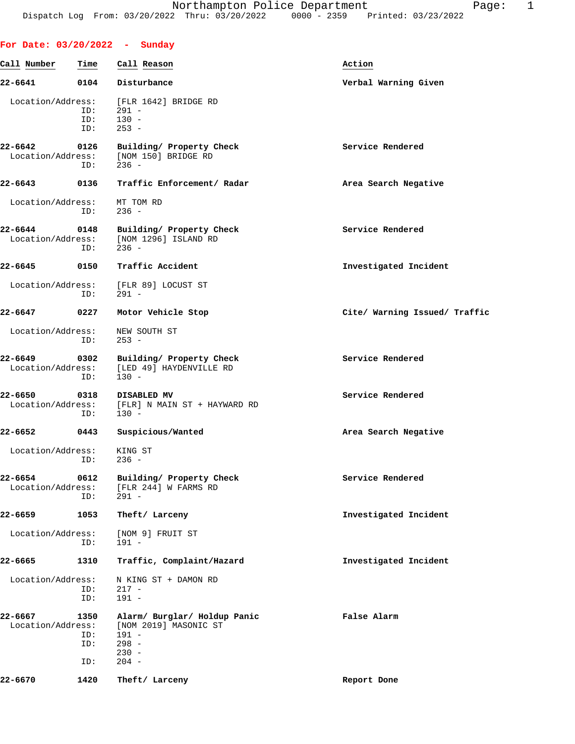| For Date: $03/20/2022 -$ Sunday  |                           |                                                                                                   |                               |
|----------------------------------|---------------------------|---------------------------------------------------------------------------------------------------|-------------------------------|
| Call Number                      | Time                      | Call Reason                                                                                       | Action                        |
| 22-6641                          | 0104                      | Disturbance                                                                                       | Verbal Warning Given          |
| Location/Address:                | ID:<br>ID:<br>ID:         | [FLR 1642] BRIDGE RD<br>$291 -$<br>$130 -$<br>$253 -$                                             |                               |
| 22-6642<br>Location/Address:     | 0126<br>ID:               | Building/ Property Check<br>[NOM 150] BRIDGE RD<br>$236 -$                                        | Service Rendered              |
| 22-6643                          | 0136                      | Traffic Enforcement/ Radar                                                                        | Area Search Negative          |
| Location/Address:                | ID:                       | MT TOM RD<br>$236 -$                                                                              |                               |
| 22-6644<br>Location/Address:     | 0148<br>ID:               | Building/ Property Check<br>[NOM 1296] ISLAND RD<br>$236 -$                                       | Service Rendered              |
| 22-6645                          | 0150                      | Traffic Accident                                                                                  | Investigated Incident         |
| Location/Address:                | ID:                       | [FLR 89] LOCUST ST<br>291 -                                                                       |                               |
| 22-6647                          | 0227                      | Motor Vehicle Stop                                                                                | Cite/ Warning Issued/ Traffic |
| Location/Address:                | ID:                       | NEW SOUTH ST<br>$253 -$                                                                           |                               |
| 22-6649<br>Location/Address:     | 0302<br>ID:               | Building/ Property Check<br>[LED 49] HAYDENVILLE RD<br>$130 -$                                    | Service Rendered              |
| 22-6650<br>Location/Address:     | 0318<br>ID:               | DISABLED MV<br>[FLR] N MAIN ST + HAYWARD RD<br>$130 -$                                            | Service Rendered              |
| 22-6652                          | 0443                      | Suspicious/Wanted                                                                                 | Area Search Negative          |
| Location/Address:<br>$ID: 236 -$ |                           | KING ST                                                                                           |                               |
| 22-6654<br>Location/Address:     | 0612<br>ID:               | Building/ Property Check<br>[FLR 244] W FARMS RD<br>$291 -$                                       | Service Rendered              |
| 22–6659                          | 1053                      | Theft/ Larceny                                                                                    | Investigated Incident         |
| Location/Address:                | ID:                       | [NOM 9] FRUIT ST<br>$191 -$                                                                       |                               |
| 22-6665                          | 1310                      | Traffic, Complaint/Hazard                                                                         | Investigated Incident         |
| Location/Address:                | ID:<br>ID:                | N KING ST + DAMON RD<br>$217 -$<br>$191 -$                                                        |                               |
| 22-6667<br>Location/Address:     | 1350<br>ID:<br>ID:<br>ID: | Alarm/ Burglar/ Holdup Panic<br>[NOM 2019] MASONIC ST<br>$191 -$<br>$298 -$<br>$230 -$<br>$204 -$ | False Alarm                   |

**22-6670 1420 Theft/ Larceny Report Done**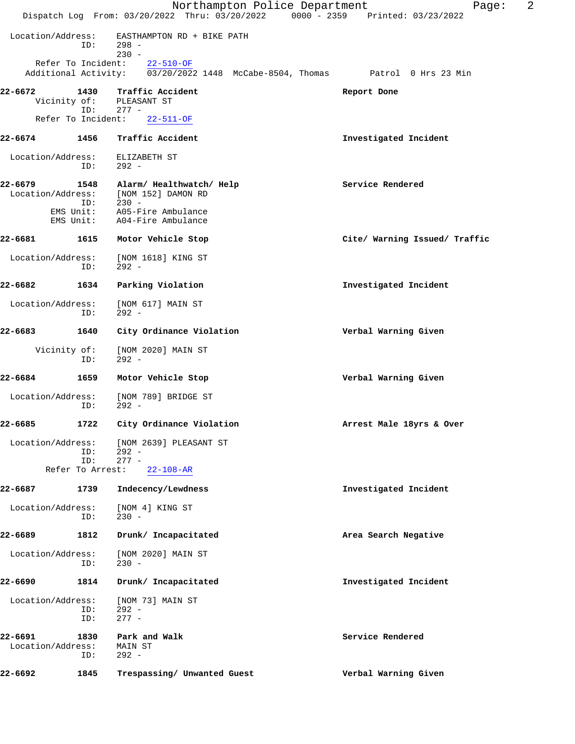|                              |                  | Northampton Police Department<br>Dispatch Log From: 03/20/2022 Thru: 03/20/2022 0000 - 2359 Printed: 03/23/2022         | 2<br>Page:                    |
|------------------------------|------------------|-------------------------------------------------------------------------------------------------------------------------|-------------------------------|
| Location/Address:            | ID:              | EASTHAMPTON RD + BIKE PATH<br>298 -                                                                                     |                               |
|                              |                  | $230 -$<br>Refer To Incident: 22-510-OF<br>Additional Activity: 03/20/2022 1448 McCabe-8504, Thomas Patrol 0 Hrs 23 Min |                               |
| 22-6672                      | 1430             | Traffic Accident<br>Vicinity of: PLEASANT ST                                                                            | Report Done                   |
|                              | ID:              | $277 -$<br>Refer To Incident: 22-511-OF                                                                                 |                               |
| 22-6674                      | 1456             | Traffic Accident                                                                                                        | Investigated Incident         |
| Location/Address:            | ID:              | ELIZABETH ST<br>292 -                                                                                                   |                               |
| 22-6679<br>Location/Address: | 1548<br>ID:      | Alarm/ Healthwatch/ Help<br>[NOM 152] DAMON RD<br>$230 -$                                                               | Service Rendered              |
|                              | EMS Unit:        | EMS Unit: A05-Fire Ambulance<br>A04-Fire Ambulance                                                                      |                               |
| 22-6681                      | 1615             | Motor Vehicle Stop                                                                                                      | Cite/ Warning Issued/ Traffic |
| Location/Address:            | ID:              | [NOM 1618] KING ST<br>$292 -$                                                                                           |                               |
| 22-6682                      | 1634             | Parking Violation                                                                                                       | Investigated Incident         |
| Location/Address:            | ID:              | [NOM 617] MAIN ST<br>$292 -$                                                                                            |                               |
| 22-6683                      | 1640             | City Ordinance Violation                                                                                                | Verbal Warning Given          |
| Vicinity of:                 | ID:              | [NOM 2020] MAIN ST<br>$292 -$                                                                                           |                               |
| 22-6684                      | 1659             | Motor Vehicle Stop                                                                                                      | Verbal Warning Given          |
| Location/Address:            | ID:              | [NOM 789] BRIDGE ST<br>$292 -$                                                                                          |                               |
| 22-6685                      |                  | 1722 City Ordinance Violation                                                                                           | Arrest Male 18yrs & Over      |
| Location/Address:            | ID:<br>ID:       | [NOM 2639] PLEASANT ST<br>$292 -$<br>$277 -$                                                                            |                               |
|                              | Refer To Arrest: | $22 - 108 - AR$                                                                                                         |                               |
| 22-6687                      | 1739             | Indecency/Lewdness                                                                                                      | Investigated Incident         |
| Location/Address:            | ID:              | [NOM 4] KING ST<br>$230 -$                                                                                              |                               |
| 22-6689                      | 1812             | Drunk/ Incapacitated                                                                                                    | Area Search Negative          |
| Location/Address:            | ID:              | [NOM 2020] MAIN ST<br>$230 -$                                                                                           |                               |
| 22-6690                      | 1814             | Drunk/ Incapacitated                                                                                                    | Investigated Incident         |
| Location/Address:            | ID:<br>ID:       | [NOM 73] MAIN ST<br>$292 -$<br>$277 -$                                                                                  |                               |
| 22-6691<br>Location/Address: | 1830<br>ID:      | Park and Walk<br>MAIN ST<br>$292 -$                                                                                     | Service Rendered              |
| 22-6692                      | 1845             | Trespassing/ Unwanted Guest                                                                                             | Verbal Warning Given          |
|                              |                  |                                                                                                                         |                               |